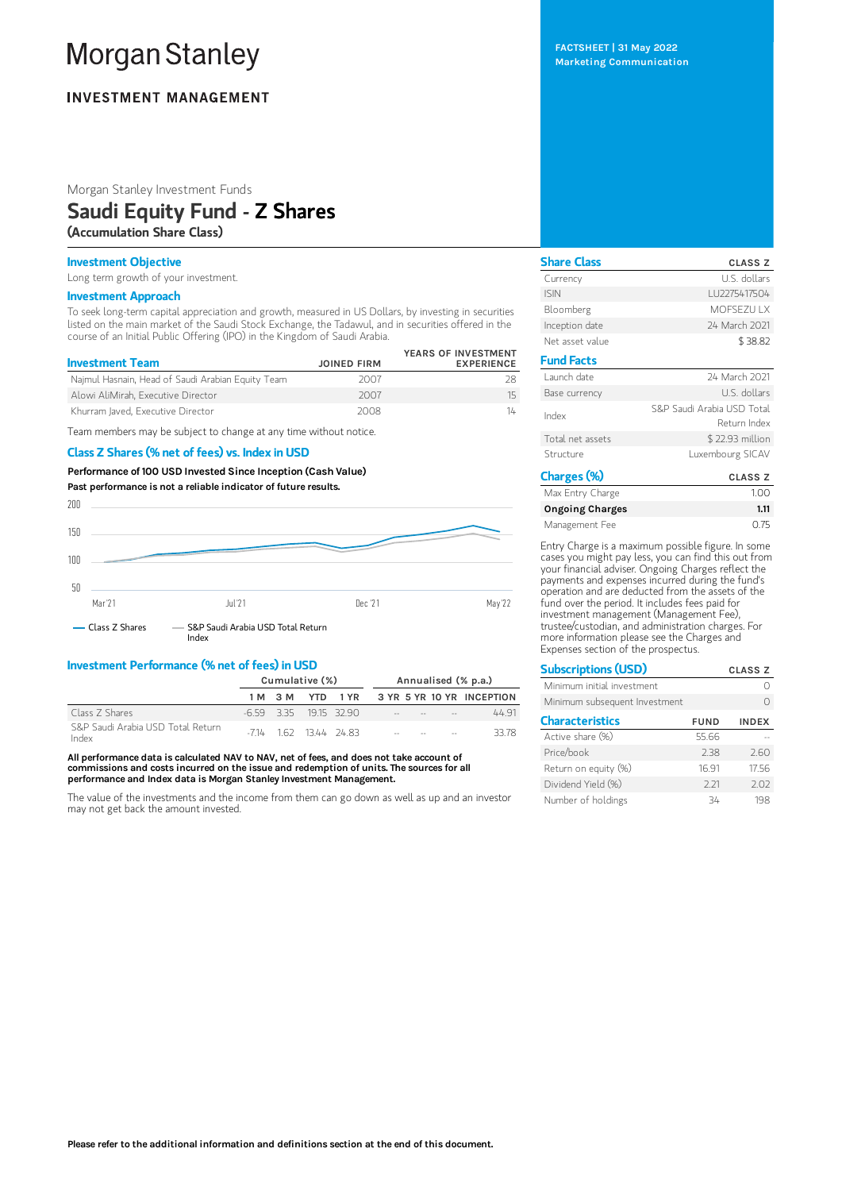# **Morgan Stanley**

# **INVESTMENT MANAGEMENT**

Morgan Stanley Investment Funds

# Saudi Equity Fund - Z Shares

(Accumulation Share Class)

### Investment Objective

Long term growth of your investment.

# Investment Approach

To seek long-term capital appreciation and growth, measured in US Dollars, by investing in securities listed on the main market of the Saudi Stock Exchange, the Tadawul, and in securities offered in the course of an Initial Public Offering (IPO) in the Kingdom of Saudi Arabia.

| <b>Investment Team</b>                            | <b>JOINED FIRM</b> | YEARS OF INVESTMENT<br><b>EXPERIENCE</b> |
|---------------------------------------------------|--------------------|------------------------------------------|
| Najmul Hasnain, Head of Saudi Arabian Equity Team | 2007               |                                          |
| Alowi AliMirah, Executive Director                | 2007               | 15                                       |
| Khurram Javed, Executive Director                 | 2008               | 14                                       |

Team members may be subject to change at any time without notice.

#### Class Z Shares (% net of fees) vs. Index in USD

Performance of100 USD Invested Since Inception (Cash Value) Past performance is not a reliable indicator of future results.



# Investment Performance (% net of fees) in USD

|                                            | Cumulative (%) |  |                      | Annualised (% p.a.) |  |  |                                   |                                      |
|--------------------------------------------|----------------|--|----------------------|---------------------|--|--|-----------------------------------|--------------------------------------|
|                                            |                |  |                      |                     |  |  |                                   | 1M 3M YTD 1YR 3YR 5YR 10YR INCEPTION |
| Class 7 Shares                             |                |  |                      | -659 335 1915 3290  |  |  |                                   | 4491                                 |
| S&P Saudi Arabia USD Total Return<br>Index |                |  | $-714$ 162 1344 2483 |                     |  |  | the control of the control of the | 33.78                                |

All performance data is calculated NAV to NAV, net of fees, and does not take account of commissions and costs incurred on the issue and redemption of units. The sources for all performance and Index data is Morgan Stanley Investment Management.

The value of the investments and the income from them can go down as well as up and an investor may not get back the amount invested.

FACTSHEET | 31 May 2022 Marketing Communication

| <b>Share Class</b> | <b>CLASS Z</b>                             |
|--------------------|--------------------------------------------|
| Currency           | U.S. dollars                               |
| <b>ISIN</b>        | LU2275417504                               |
| Bloomberg          | MOESEZU I X                                |
| Inception date     | 24 March 2021                              |
| Net asset value    | \$38.82                                    |
| <b>Fund Facts</b>  |                                            |
| Launch date        | 24 March 2021                              |
| Base currency      | U.S. dollars                               |
| Index              | S&P Saudi Arabia USD Total<br>Return Index |
| Total net assets   | \$22.93 million                            |
| Structure          | Luxembourg SICAV                           |
| Charges (%)        | <b>CLASS Z</b>                             |

| Max Entry Charge       | 1.00 |
|------------------------|------|
| <b>Ongoing Charges</b> | 1.11 |
| Management Fee         | 0.75 |

Entry Charge is a maximum possible figure. In some cases you might pay less, you can find this out from your financial adviser. Ongoing Charges reflect the payments and expenses incurred during the fund's operation and are deducted from the assets of the fund over the period. It includes fees paid for investment management (Management Fee), trustee/custodian, and administration charges. For more information please see the Charges and Expenses section of the prospectus.

| <b>Subscriptions (USD)</b>    |             | <b>CLASS Z</b> |
|-------------------------------|-------------|----------------|
| Minimum initial investment    |             |                |
| Minimum subsequent Investment |             |                |
| <b>Characteristics</b>        | <b>FUND</b> | <b>INDEX</b>   |
| Active share (%)              | 55.66       |                |
| Price/book                    | 2.38        | 2.60           |
| Return on equity (%)          | 16.91       | 17.56          |
| Dividend Yield (%)            | 2.21        | 2.02           |
| Number of holdings            | 34          | 198            |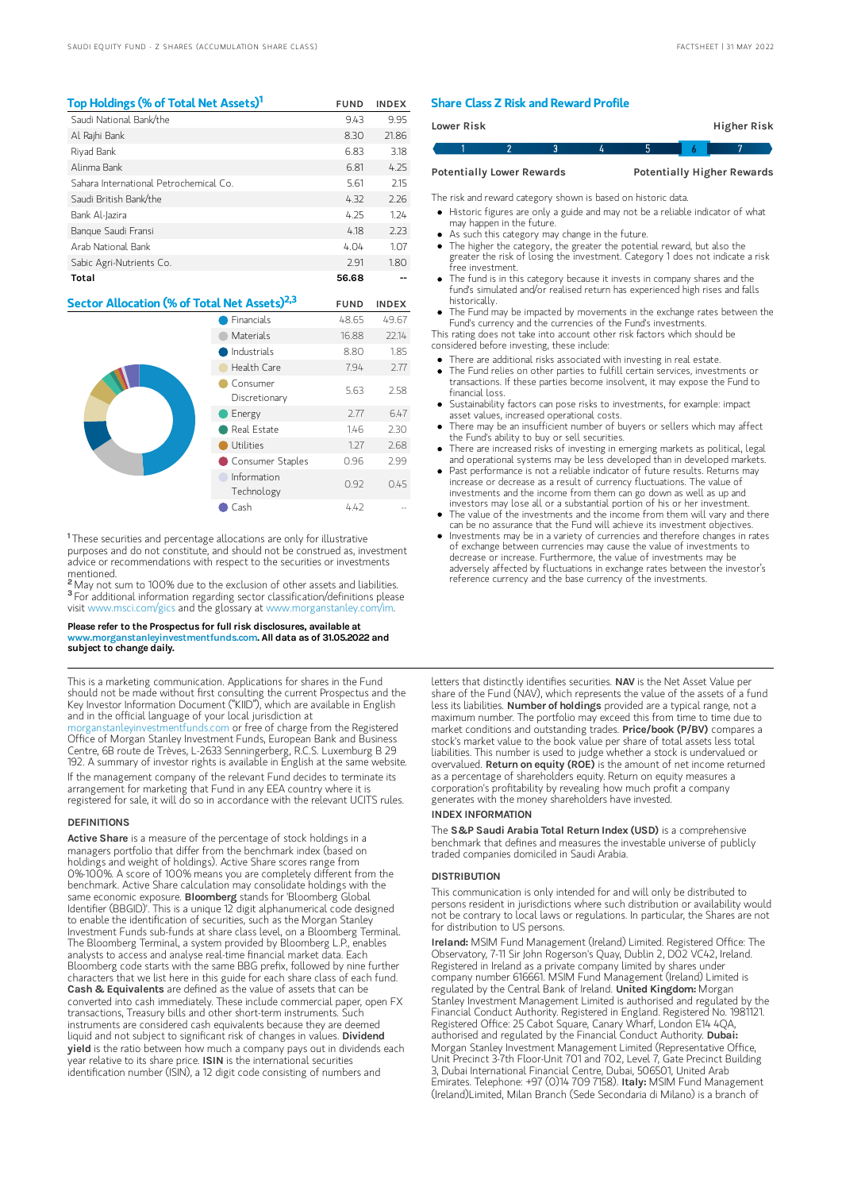| Top Holdings (% of Total Net Assets) <sup>1</sup> | <b>FUND</b> | <b>INDEX</b> |
|---------------------------------------------------|-------------|--------------|
| Saudi National Bank/the                           | 9.43        | 9.95         |
| Al Rajhi Bank                                     | 8.30        | 21.86        |
| Riyad Bank                                        | 6.83        | 3.18         |
| Alinma Bank                                       | 6.81        | 4.25         |
| Sahara International Petrochemical Co.            | 5.61        | 2.15         |
| Saudi British Bank/the                            | 4.32        | 2.26         |
| Bank Al-Jazira                                    | 4.25        | 1.24         |
| Bangue Saudi Fransi                               | 4.18        | 2.23         |
| Arab National Bank                                | 4.04        | 1.07         |
| Sabic Agri-Nutrients Co.                          | 2.91        | 1.80         |
| Total                                             | 56.68       |              |

# Sector Allocation (% of Total Net Assets)<sup>2,3</sup> FUND INDEX

|  | Financials                | 48.65 | 49.67 |
|--|---------------------------|-------|-------|
|  | Materials                 | 16.88 | 22.14 |
|  | Industrials               | 8.80  | 1.85  |
|  | Health Care               | 7.94  | 2.77  |
|  | Consumer<br>Discretionary | 5.63  | 2.58  |
|  | Energy                    | 2.77  | 6.47  |
|  | Real Estate               | 1.46  | 2.30  |
|  | Utilities                 | 1.27  | 2.68  |
|  | Consumer Staples          | 0.96  | 2.99  |
|  | Information<br>Technology | 0.92  | 0.45  |
|  | Cash                      | 4.42  |       |

<sup>1</sup>These securities and percentage allocations are only for illustrative purposes and do not constitute, and should not be construed as, investment advice or recommendations with respect to the securities or investments mentioned.<br><sup>2</sup> May not s

May not sum to 100% due to the exclusion of other assets and liabilities. <sup>3</sup> For additional information regarding sector classification/definitions please visit www.msci.com/gics and the glossary at www.morganstanley.com/im.

#### Please refer to the Prospectus for full risk disclosures, available at www.morganstanleyinvestmentfunds.com. All data as of 31.05.2022 and subject to change daily.

This is a marketing communication. Applications for shares in the Fund should not be made without first consulting the current Prospectus and the Key Investor Information Document ("KIID"), which are available in English and in the official language of your local jurisdiction at [morganstanleyinvestmentfunds.com](https://www.morganstanley.com/im/msinvf/index.html) or free of charge from the Registered Office of Morgan Stanley Investment Funds, European Bank and Business Centre, 6B route de Trèves, L-2633 Senningerberg, R.C.S. Luxemburg B 29 192. A summary of investor rights is available in English at the same website. If the management company of the relevant Fund decides to terminate its arrangement for marketing that Fund in any EEA country where it is registered for sale, it will do so in accordance with the relevant UCITS rules.

#### **DEFINITIONS**

Active Share is a measure of the percentage of stock holdings in a managers portfolio that differ from the benchmark index (based on holdings and weight of holdings). Active Share scores range from 0%-100%. A score of 100% means you are completely different from the benchmark. Active Share calculation may consolidate holdings with the same economic exposure. Bloomberg stands for 'Bloomberg Global Identifier (BBGID)'. This is a unique 12 digit alphanumerical code designed to enable the identification of securities, such as the Morgan Stanley Investment Funds sub-funds at share class level, on a Bloomberg Terminal. The Bloomberg Terminal, a system provided by Bloomberg L.P., enables analysts to access and analyse real-time financial market data. Each Bloomberg code starts with the same BBG prefix, followed by nine further characters that we list here in this guide for each share class of each fund.<br>**Cash & Equivalents** are defined as the value of assets that can be converted into cash immediately. These include commercial paper, open FX transactions, Treasury bills and other short-term instruments. Such instruments are considered cash equivalents because they are deemed liquid and not subject to significant risk of changes in values. Dividend yield is the ratio between how much a company pays out in dividends each year relative to its share price. ISIN is the international securities identification number (ISIN), a 12 digit code consisting of numbers and

#### Share Class Z Risk and Reward Profile

| Lower Risk                       |  |  |  |                                   |  | Higher Risk |  |
|----------------------------------|--|--|--|-----------------------------------|--|-------------|--|
|                                  |  |  |  |                                   |  |             |  |
| <b>Potentially Lower Rewards</b> |  |  |  | <b>Potentially Higher Rewards</b> |  |             |  |

The risk and reward category shown is based on historic data.

- Historic figures are only a guide and may not be a reliable indicator of what may happen in the future.
- As such this category may change in the future.
- The higher the category, the greater the potential reward, but also the greater the risk of losing the investment. Category 1 does not indicate a risk free investment.
- The fund is in this category because it invests in company shares and the fund's simulated and/or realised return has experienced high rises and falls historically.
- The Fund may be impacted by movements in the exchange rates between the Fund's currency and the currencies of the Fund's investments.

This rating does not take into account other risk factors which should be considered before investing, these include:

- There are additional risks associated with investing in real estate.
- The Fund relies on other parties to fulfill certain services, investments or transactions. If these parties become insolvent, it may expose the Fund to financial loss.
- Sustainability factors can pose risks to investments, for example: impact asset values, increased operational costs.
- There may be an insufficient number of buyers or sellers which may affect the Fund's ability to buy or sell securities.
- There are increased risks of investing in emerging markets as political, legal and operational systems may be less developed than in developed markets.
- Past performance is not a reliable indicator of future results. Returns may increase or decrease as a result of currency fluctuations. The value of investments and the income from them can go down as well as up and investors may lose all or a substantial portion of his or her investment.
- The value of the investments and the income from them will vary and there can be no assurance that the Fund will achieve its investment objectives.
- Investments may be in a variety of currencies and therefore changes in rates of exchange between currencies may cause the value of investments to decrease or increase. Furthermore, the value of investments may be adversely affected by fluctuations in exchange rates between the investor's reference currency and the base currency of the investments.

letters that distinctly identifies securities. NAV is the Net Asset Value per share of the Fund (NAV), which represents the value of the assets of a fund less its liabilities. Number of holdings provided are a typical range, not a maximum number. The portfolio may exceed this from time to time due to market conditions and outstanding trades. Price/book (P/BV) compares a stock's market value to the book value per share of total assets less total liabilities. This number is used to judge whether a stock is undervalued or overvalued. Return on equity (ROE) is the amount of net income returned as a percentage of shareholders equity. Return on equity measures a corporation's profitability by revealing how much profit a company generates with the money shareholders have invested.

#### INDEX INFORMATION

The S&P Saudi Arabia Total Return Index (USD) is a comprehensive benchmark that defines and measures the investable universe of publicly traded companies domiciled in Saudi Arabia.

#### **DISTRIBUTION**

This communication is only intended for and will only be distributed to persons resident in jurisdictions where such distribution or availability would not be contrary to local laws or regulations. In particular, the Shares are not for distribution to US persons.

Ireland: MSIM Fund Management (Ireland) Limited. Registered Office: The Observatory, 7-11 Sir John Rogerson's Quay, Dublin 2, D02 VC42, Ireland. Registered in Ireland as a private company limited by shares under company number 616661. MSIM Fund Management (Ireland) Limited is regulated by the Central Bank of Ireland. United Kingdom: Morgan Stanley Investment Management Limited is authorised and regulated by the Financial Conduct Authority. Registered in England. Registered No. 1981121. Registered Office: 25 Cabot Square, Canary Wharf, London E14 4QA, authorised and regulated by the Financial Conduct Authority. Dubai: Morgan Stanley Investment Management Limited (Representative Office, Unit Precinct 3-7th Floor-Unit 701 and 702, Level 7, Gate Precinct Building 3, Dubai International Financial Centre, Dubai, 506501, United Arab Emirates. Telephone: +97 (0)14 709 7158). Italy: MSIM Fund Management (Ireland)Limited, Milan Branch (Sede Secondaria di Milano) is a branch of